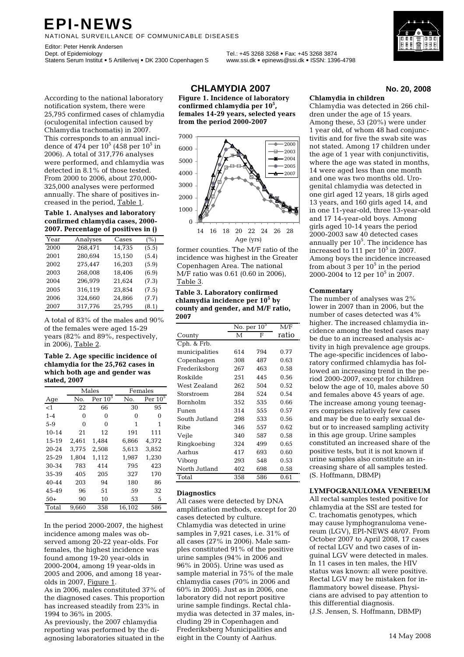# **EPI-NEWS**

NATIONAL SURVEILLANCE OF COMMUNICABLE DISEASES

Editor: Peter Henrik Andersen<br>Dept. of Epidemiology Statens Serum Institut • 5 Artillerivej • DK 2300 Copenhagen S www.ssi.dk • epinews@ssi.dk • ISSN: 1396-4798

Dept. of Epidemiology Tel.: +45 3268 3268 • Fax: +45 3268 3874

According to the national laboratory notification system, there were 25,795 confirmed cases of chlamydia (oculogenital infection caused by Chlamydia trachomatis) in 2007. This corresponds to an annual incidence of 474 per 10<sup>5</sup> (458 per 10<sup>5</sup> in 2006). A total of 317,776 analyses were performed, and chlamydia was detected in 8.1% of those tested. From 2000 to 2006, about 270,000- 325,000 analyses were performed annually. The share of positives increased in the period, Table 1.

**Table 1. Analyses and laboratory confirmed chlamydia cases, 2000- 2007. Percentage of positives in ()** 

| Year | Analyses | Cases  | (%)   |
|------|----------|--------|-------|
| 2000 | 268,471  | 14,735 | (5.5) |
| 2001 | 280,694  | 15,150 | (5.4) |
| 2002 | 275,447  | 16,203 | (5.9) |
| 2003 | 268,008  | 18,406 | (6.9) |
| 2004 | 296,979  | 21,624 | (7.3) |
| 2005 | 316,119  | 23,854 | (7.5) |
| 2006 | 324,660  | 24,866 | (7.7) |
| 2007 | 317,776  | 25,795 | (8.1) |

A total of 83% of the males and 90% of the females were aged 15-29 years (82% and 89%, respectively, in 2006), Table 2.

#### **Table 2. Age specific incidence of chlamydia for the 25,762 cases in which both age and gender was stated, 2007**

|           |          | Males     | Females |           |  |
|-----------|----------|-----------|---------|-----------|--|
| Age       | No.      | Per $105$ | No.     | Per $105$ |  |
| $<$ 1     | 22       | 66        | 30      | 95        |  |
| $1 - 4$   | 0        | 0         | 0       | 0         |  |
| $5-9$     | $\Omega$ | 0         | 1       | 1         |  |
| $10 - 14$ | 21       | 12        | 191     | 111       |  |
| 15-19     | 2,461    | 1,484     | 6,866   | 4,372     |  |
| 20-24     | 3,775    | 2,508     | 5,613   | 3,852     |  |
| $25 - 29$ | 1.804    | 1.112     | 1.987   | 1.230     |  |
| 30-34     | 783      | 414       | 795     | 423       |  |
| 35-39     | 405      | 205       | 327     | 170       |  |
| 40-44     | 203      | 94        | 180     | 86        |  |
| 45-49     | 96       | 51        | 59      | 32        |  |
| $50+$     | 90       | 10        | 53      | 5         |  |
| Total     | 9.660    | 358       | 16.102  | 586       |  |

In the period 2000-2007, the highest incidence among males was observed among 20-22 year-olds. For females, the highest incidence was found among 19-20 year-olds in 2000-2004, among 19 year-olds in 2005 and 2006, and among 18 yearolds in 2007, Figure 1.

As in 2006, males constituted 37% of the diagnosed cases. This proportion has increased steadily from 23% in 1994 to 36% in 2005.

As previously, the 2007 chlamydia reporting was performed by the diagnosing laboratories situated in the **CHLAMYDIA 2007 No. 20, 2008**

 **Figure 1. Incidence of laboratory confirmed chlamydia per 105 , females 14-29 years, selected years from the period 2000-2007** 



former counties. The M/F ratio of the incidence was highest in the Greater Copenhagen Area. The national M/F ratio was 0.61 (0.60 in 2006), Table 3.

#### **Table 3. Laboratory confirmed chlamydia incidence per 10<sup>5</sup> by county and gender, and M/F ratio, 2007**

|                 |     | No. per $105$ |       |  |
|-----------------|-----|---------------|-------|--|
| County          | М   | F             | ratio |  |
| Cph. & Frb.     |     |               |       |  |
| municipalities  | 614 | 794           | 0.77  |  |
| Copenhagen      | 308 | 487           | 0.63  |  |
| Frederiksborg   | 267 | 463           | 0.58  |  |
| Roskilde        | 251 | 445           | 0.56  |  |
| West Zealand    | 262 | 504           | 0.52  |  |
| Storstroem      | 284 | 524           | 0.54  |  |
| <b>Bornholm</b> | 352 | 535           | 0.66  |  |
| Funen           | 314 | 555           | 0.57  |  |
| South Jutland   | 298 | 533           | 0.56  |  |
| Ribe            | 346 | 557           | 0.62  |  |
| Vejle           | 340 | 587           | 0.58  |  |
| Ringkoebing     | 324 | 499           | 0.65  |  |
| Aarhus          | 417 | 693           | 0.60  |  |
| Viborq          | 293 | 548           | 0.53  |  |
| North Jutland   | 402 | 698           | 0.58  |  |
| Total           | 358 | 586           | 0.61  |  |

#### **Diagnostics**

All cases were detected by DNA amplification methods, except for 20 cases detected by culture. Chlamydia was detected in urine samples in 7,921 cases, i.e. 31% of all cases (27% in 2006). Male samples constituted 91% of the positive urine samples (94% in 2006 and 96% in 2005). Urine was used as sample material in 75% of the male chlamydia cases (70% in 2006 and 60% in 2005). Just as in 2006, one laboratory did not report positive urine sample findings. Rectal chlamydia was detected in 37 males, including 29 in Copenhagen and Frederiksberg Municipalities and eight in the County of Aarhus.

#### **Chlamydia in children**

Chlamydia was detected in 266 children under the age of 15 years. Among these, 53 (20%) were under 1 year old, of whom 48 had conjunctivitis and for five the swab site was not stated. Among 17 children under the age of 1 year with conjunctivitis, where the age was stated in months, 14 were aged less than one month and one was two months old. Urogenital chlamydia was detected in one girl aged 12 years, 18 girls aged 13 years, and 160 girls aged 14, and in one 11-year-old, three 13-year-old and 17 14-year-old boys. Among girls aged 10-14 years the period 2000-2003 saw 40 detected cases annually per  $10^5$ . The incidence has increased to 111 per  $10^5$  in 2007. Among boys the incidence increased from about 3 per  $10^5$  in the period 2000-2004 to  $12$  per  $10^5$  in 2007.

#### **Commentary**

The number of analyses was 2% lower in 2007 than in 2006, but the number of cases detected was 4% higher. The increased chlamydia incidence among the tested cases may be due to an increased analysis activity in high prevalence age groups. The age-specific incidences of laboratory confirmed chlamydia has followed an increasing trend in the period 2000-2007, except for children below the age of 10, males above 50 and females above 45 years of age. The increase among young teenagers comprises relatively few cases and may be due to early sexual debut or to increased sampling activity in this age group. Urine samples constituted an increased share of the positive tests, but it is not known if urine samples also constitute an increasing share of all samples tested. (S. Hoffmann, DBMP)

#### **LYMFOGRANULOMA VENEREUM**

All rectal samples tested positive for chlamydia at the SSI are tested for C. trachomatis genotypes, which may cause lymphogranuloma venereum (LGV), EPI-NEWS 48/07. From October 2007 to April 2008, 17 cases of rectal LGV and two cases of inguinal LGV were detected in males. In 11 cases in ten males, the HIV status was known: all were positive. Rectal LGV may be mistaken for inflammatory bowel disease. Physicians are advised to pay attention to this differential diagnosis. (J.S. Jensen, S. Hoffmann, DBMP)